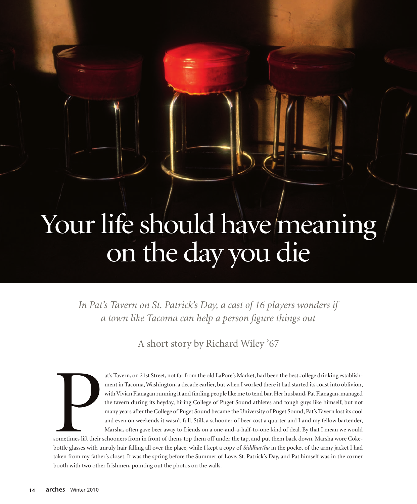## Your life should have meaning on the day you die

In Pat's Tavern on St. Patrick's Day, a cast of 16 players wonders if *a town like Tacoma can help a person figure things out*

A short story by Richard Wiley '67



at's Tavern, on 21st Street, not far from the old LaPore's Market, had been the best college drinking establishment in Tacoma, Washington, a decade earlier, but when I worked there it had started its coast into oblivion, with Vivian Flanagan running it and finding people like me to tend bar. Her husband, Pat Flanagan, managed the tavern during its heyday, hiring College of Puget Sound athletes and tough guys like himself, but not many years after the College of Puget Sound became the University of Puget Sound, Pat's Tavern lost its cool and even on weekends it wasn't full. Still, a schooner of beer cost a quarter and I and my fellow bartender, Marsha, often gave beer away to friends on a one-and-a-half-to-one kind of deal. By that I mean we would

sometimes lift their schooners from in front of them, top them off under the tap, and put them back down. Marsha wore Cokebottle glasses with unruly hair falling all over the place, while I kept a copy of *Siddhartha* in the pocket of the army jacket I had taken from my father's closet. It was the spring before the Summer of Love, St. Patrick's Day, and Pat himself was in the corner booth with two other Irishmen, pointing out the photos on the walls.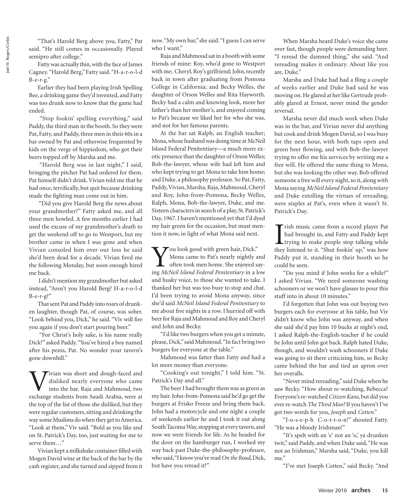"That's Harold Berg above you, Fatty," Pat said. "He still comes in occasionally. Played semipro after college."

Fatty was actually thin, with the face of James Cagney. "Harold Berg," Fatty said. "H-a-r-o-l-d  $B-e-r-g.$ "

Earlier they had been playing Irish Spelling Bee, a drinking game they'd invented, and Fatty was too drunk now to know that the game had ended.

 "Stop fookin' spelling everything," said Paddy, the third man in the booth. So they were Pat, Fatty, and Paddy, three men in their 60s in a bar owned by Pat and otherwise frequented by kids on the verge of hippiedom, who got their beers topped off by Marsha and me.

 "Harold Berg was in last night," I said, bringing the pitcher Pat had ordered for them. Pat himself didn't drink. Vivian told me that he had once, terrifically, but quit because drinking made the fighting man come out in him.

 "Did you give Harold Berg the news about your grandmother?" Fatty asked me, and all three men howled. A few months earlier I had used the excuse of my grandmother's death to get the weekend off to go to Westport, but my brother came in when I was gone and when Vivian consoled him over our loss he said she'd been dead for a decade. Vivian fired me the following Monday, but soon enough hired me back.

 I didn't mention my grandmother but asked instead, "Aren't you Harold Berg? H-a-r-o-l-d B-e-r-g?"

That sent Pat and Paddy into roars of drunken laughter, though Pat, of course, was sober. "Look behind you, Dick," he said. "Viv will fire you again if you don't start pouring beer."

 "For Christ's holy sake, is his name really Dick?" asked Paddy. "You've hired a boy named after his penis, Pat. No wonder your tavern's gone downhill."

Vivian was short and dough-faced and<br>disliked nearly everyone who came<br>into the bar. Raja and Mahmoud, two<br>exchange students from Saudi Arabia were at disliked nearly everyone who came into the bar. Raja and Mahmoud, two exchange students from Saudi Arabia, were at the top of the list of those she disliked, but they were regular customers, sitting and drinking the way some Muslims do when they get to America. "Look at them," Viv said. "Bold as you like and on St. Patrick's Day, too, just waiting for me to serve them…"

Vivian kept a milkshake container filled with Mogen David wine at the back of the bar by the cash register, and she turned and sipped from it now. "My own bar," she said. "I guess I can serve who I want."

Raja and Mahmoud sat in a booth with some friends of mine: Roy, who'd gone to Westport with me; Cheryl, Roy's girlfriend; John, recently back in town after graduating from Pomona College in California; and Becky Welles, the daughter of Orson Welles and Rita Hayworth. Becky had a calm and knowing look, more her father's than her mother's, and enjoyed coming to Pat's because we liked her for who she was, and not for her famous parents.

At the bar sat Ralph, an English teacher; Mona, whose husband was doing time at McNeil Island Federal Penitentiary—a much more exotic presence than the daughter of Orson Welles; Bob-the-lawyer, whose wife had left him and who kept trying to get Mona to take him home; and Duke, a philosophy professor. So Pat, Fatty, Paddy, Vivian, Marsha, Raja, Mahmoud, Cheryl and Roy, John-from-Pomona, Becky Welles, Ralph, Mona, Bob-the-lawyer, Duke, and me. Sixteen characters in search of a play, St. Patrick's Day, 1967. I haven't mentioned yet that I'd dyed my hair green for the occasion, but must mention it now, in light of what Mona said next.

 $\bigtriangledown$  ou look good with green hair, Dick." Mona came to Pat's nearly nightly and often took men home. She enjoyed saying *McNeil Island Federal Penitentiary* in a low and husky voice, to those she wanted to take. I thanked her but was too busy to stop and chat. I'd been trying to avoid Mona anyway, since she'd said *McNeil Island Federal Penitentiary* to me about five nights in a row. I hurried off with beer for Raja and Mahmoud and Roy and Cheryl and John and Becky.

"I'd like two burgers when you get a minute, please, Dick," said Mahmoud. "In fact bring two burgers for everyone at the table."

Mahmoud was fatter than Fatty and had a lot more money than everyone.

"Cooking's out tonight," I told him. "St. Patrick's Day and all."

The beer I had brought them was as green as my hair. John-from-Pomona said he'd go get the burgers at Frisko Freeze and bring them back. John had a motorcycle and one night a couple of weekends earlier he and I took it out along South Tacoma Way, stopping at every tavern, and now we were friends for life. As he headed for the door on the hamburger run, I worked my way back past Duke-the-philosophy-professor, who said, "I know you've read *On the Road*, Dick, but have you reread it?"

When Marsha heard Duke's voice she came over fast, though people were demanding beer. "I reread the damned thing," she said. "And rereading makes it ordinary. About like you are, Duke."

Marsha and Duke had had a fling a couple of weeks earlier and Duke had said he was moving on. He glared at her like Gertrude probably glared at Ernest, never mind the gender reversal.

Marsha never did much work when Duke was in the bar, and Vivian never did anything but cook and drink Mogen David, so I was busy for the next hour, with both taps open and green beer flowing, and with Bob-the-lawyer trying to offer me his services by writing me a free will. He offered the same thing to Mona, but she was looking the other way. Bob offered someone a free will every night, so it, along with Mona saying *McNeil Island Federal Penitentiary* and Duke extolling the virtues of rereading, were staples at Pat's, even when it wasn't St. Patrick's Day.

 $\prod_{\text{theve}}$ rish music came from a record player Pat had brought in, and Fatty and Paddy kept trying to make people stop talking while they listened to it. "Shut fookin' up," was how Paddy put it, standing in their booth so he could be seen.

"Do you mind if John works for a while?" I asked Vivian. "We need someone washing schooners or we won't have glasses to pour this stuff into in about 10 minutes."

I'd forgotten that John was out buying two burgers each for everyone at his table, but Viv didn't know who John was anyway, and when she said she'd pay him 10 bucks at night's end, I asked Ralph-the-English-teacher if he could be John until John got back. Ralph hated Duke, though, and wouldn't wash schooners if Duke was going to sit there criticizing him, so Becky came behind the bar and tied an apron over her overalls.

"Never mind rereading," said Duke when he saw Becky. "How about re-watching, Rebecca? Everyone's re-watched *Citizen Kane*, but did you ever re-watch *The Third Man?* If you haven't I've got two words for you, *Joseph* and *Cotten*."

"J-o-s-e-p-h C-o-t-t-o-n!" shouted Fatty. "He was a bloody Irishman!"

"It's spelt with an 'e' not an 'o,' ya drunken twit," said Paddy, and when Duke said, "He was not an Irishman," Marsha said, "Duke, you kill me."

"I've met Joseph Cotten," said Becky. "And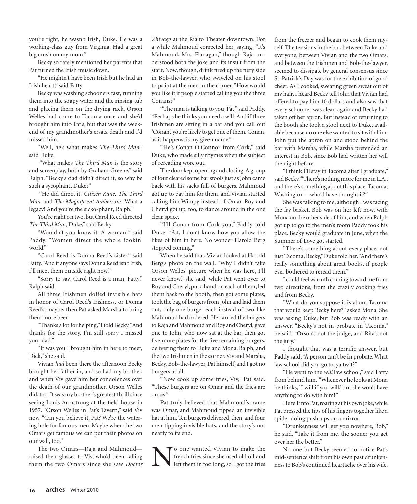you're right, he wasn't Irish, Duke. He was a working-class guy from Virginia. Had a great big crush on my mom."

Becky so rarely mentioned her parents that Pat turned the Irish music down.

"He mightn't have been Irish but he had an Irish heart," said Fatty.

Becky was washing schooners fast, running them into the soapy water and the rinsing tub and placing them on the drying rack. Orson Welles had come to Tacoma once and she'd brought him into Pat's, but that was the weekend of my grandmother's ersatz death and I'd missed him.

"Well, he's what makes *The Third Man*," said Duke.

 "What makes *The Third Man* is the story and screenplay, both by Graham Greene," said Ralph. "Becky's dad didn't direct it, so why be such a sycophant, Duke?"

 "He did direct it! *Citizen Kane, The Third Man*, and *The Magnificent Ambersons.* What a legacy! And you're the sicko-phant, Ralph."

You're right on two, but Carol Reed directed *The Third Man,* Duke," said Becky.

"Wouldn't you know it. A woman!" said Paddy. "Women direct the whole fookin' world."

"Carol Reed is Donna Reed's sister," said Fatty. "And if anyone says Donna Reed isn't Irish, I'll meet them outside right now."

"Sorry to say, Carol Reed is a man, Fatty," Ralph said.

All three Irishmen doffed invisible hats in honor of Carol Reed's Irishness, or Donna Reed's, maybe; then Pat asked Marsha to bring them more beer.

"Thanks a lot for helping," I told Becky. "And thanks for the story. I'm still sorry I missed your dad."

"It was you I brought him in here to meet, Dick," she said.

Vivian *had* been there the afternoon Becky brought her father in, and so had my brother, and when Viv gave him her condolences over the death of our grandmother, Orson Welles did, too. It was my brother's greatest thrill since seeing Louis Armstrong at the field house in 1957. "Orson Welles in Pat's Tavern," said Viv now. "Can you believe it, Pat? We're the watering hole for famous men. Maybe when the two Omars get famous we can put their photos on our wall, too."

The two Omars—Raja and Mahmoud raised their glasses to Viv, who'd been calling them the two Omars since she saw *Doctor*  *Zhivago* at the Rialto Theater downtown. For a while Mahmoud corrected her, saying, "It's Mahmoud, Mrs. Flanagan," though Raja understood both the joke and its insult from the start. Now, though, drink fired up the fiery side in Bob-the-lawyer, who swiveled on his stool to point at the men in the corner. "How would you like it if people started calling you the three Conans?"

"The man is talking to you, Pat," said Paddy. "Perhaps he thinks you need a will. And if three Irishmen are sitting in a bar and you call out 'Conan,' you're likely to get one of them. Conan, as it happens, is my given name."

"He's Conan O'Connor from Cork," said Duke, who made silly rhymes when the subject of rereading wore out.

The door kept opening and closing. A group of four cleared some bar stools just as John came back with his sacks full of burgers. Mahmoud got up to pay him for them, and Vivian started calling him Wimpy instead of Omar. Roy and Cheryl got up, too, to dance around in the one clear space.

"I'll Conan-from-Cork you," Paddy told Duke. "Pat, I don't know how you allow the likes of him in here. No wonder Harold Berg stopped coming."

When he said that, Vivian looked at Harold Berg's photo on the wall. "Why I didn't take Orson Welles' picture when he was here, I'll never know," she said, while Pat went over to Roy and Cheryl, put a hand on each of them, led them back to the booth, then got some plates, took the bag of burgers from John and laid them out, only one burger each instead of two like Mahmoud had ordered. He carried the burgers to Raja and Mahmoud and Roy and Cheryl, gave one to John, who now sat at the bar, then got five more plates for the five remaining burgers, delivering them to Duke and Mona, Ralph, and the two Irishmen in the corner. Viv and Marsha, Becky, Bob-the-lawyer, Pat himself, and I got no burgers at all.

"Now cook up some fries, Viv," Pat said. "These burgers are on Omar and the fries are on us."

Pat truly believed that Mahmoud's name was Omar, and Mahmoud tipped an invisible hat at him. Ten burgers delivered, then, and four men tipping invisible hats, and the story's not nearly to its end.

No one wanted Vivian to make the<br>french fries since she used old oil and<br>left them in too long, so I got the fries french fries since she used old oil and left them in too long, so I got the fries

from the freezer and began to cook them myself. The tensions in the bar, between Duke and everyone, between Vivian and the two Omars, and between the Irishmen and Bob-the-lawyer, seemed to dissipate by general consensus since St. Patrick's Day was for the exhibition of good cheer. As I cooked, sweating green sweat out of my hair, I heard Becky tell John that Vivian had offered to pay him 10 dollars and also saw that every schooner was clean again and Becky had taken off her apron. But instead of returning to the booth she took a stool next to Duke, available because no one else wanted to sit with him. John put the apron on and stood behind the bar with Marsha, while Marsha pretended an interest in Bob, since Bob had written her will the night before.

"I think I'll stay in Tacoma after I graduate," said Becky. "There's nothing more for me in L.A., and there's something about this place. Tacoma, Washington—who'd have thought it?"

She was talking to me, although I was facing the fry basket. Bob was on her left now, with Mona on the other side of him, and when Ralph got up to go to the men's room Paddy took his place. Becky would graduate in June, when the Summer of Love got started.

"There's something about every place, not just Tacoma, Becky," Duke told her. "And there's really something about great books, if people ever bothered to reread them."

I could feel warmth coming toward me from two directions, from the crazily cooking fries and from Becky.

"What do you suppose it is about Tacoma that would keep Becky here?" asked Mona. She was asking Duke, but Bob was ready with an answer. "Becky's not in probate in Tacoma," he said. "Orson's not the judge, and Rita's not the jury."

I thought that was a terrific answer, but Paddy said, "A person can't be in probate. What law school did you go to, ya twit?"

"He went to the *will* law school," said Fatty from behind him. "Whenever he looks at Mona he thinks, 'I will if you will,' but she won't have anything to do with him!"

He fell into Pat, roaring at his own joke, while Pat pressed the tips of his fingers together like a spider doing push-ups on a mirror.

"Drunkenness will get you nowhere, Bob," he said. "Take it from me, the sooner you get over her the better."

No one but Becky seemed to notice Pat's mid-sentence shift from his own past drunkenness to Bob's continued heartache over his wife.